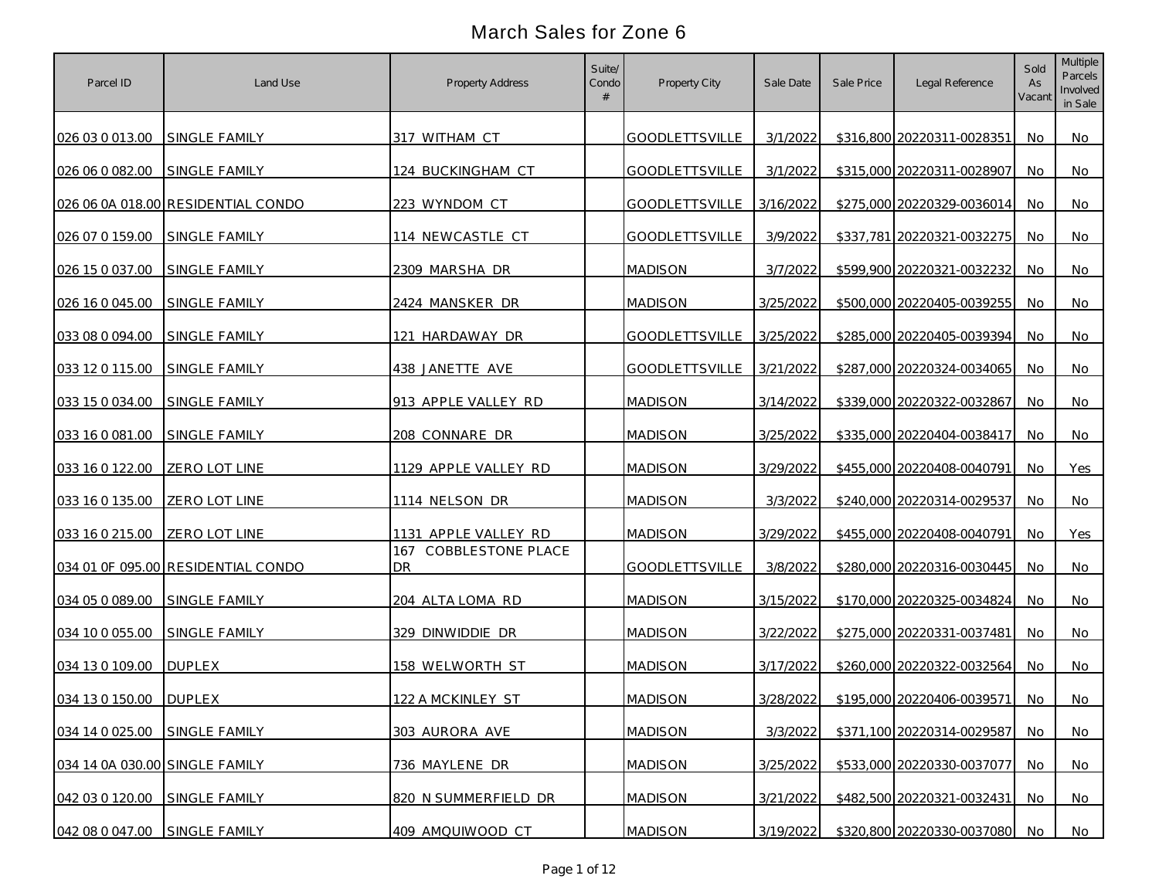| Parcel ID                      | Land Use                           | Property Address                   | Suite/<br>Condo | Property City         | Sale Date | Sale Price | Legal Reference            | Sold<br>As<br>Vacant | Multiple<br>Parcels<br>Involved<br>in Sale |
|--------------------------------|------------------------------------|------------------------------------|-----------------|-----------------------|-----------|------------|----------------------------|----------------------|--------------------------------------------|
| 026 03 0 013.00 SINGLE FAMILY  |                                    | 317 WITHAM CT                      |                 | <b>GOODLETTSVILLE</b> | 3/1/2022  |            | \$316,800 20220311-0028351 | No.                  | No.                                        |
| 026 06 0 082.00                | <b>SINGLE FAMILY</b>               | 124 BUCKINGHAM CT                  |                 | <b>GOODLETTSVILLE</b> | 3/1/2022  |            | \$315,000 20220311-0028907 | No                   | No                                         |
|                                | 026 06 0A 018.00 RESIDENTIAL CONDO | 223 WYNDOM CT                      |                 | <b>GOODLETTSVILLE</b> | 3/16/2022 |            | \$275,000 20220329-0036014 | No                   | No                                         |
| 026 07 0 159.00                | SINGLE FAMILY                      | 114 NEWCASTLE CT                   |                 | <b>GOODLETTSVILLE</b> | 3/9/2022  |            | \$337,781 20220321-0032275 | No                   | No                                         |
| 026 15 0 037.00 SINGLE FAMILY  |                                    | 2309 MARSHA DR                     |                 | <b>MADISON</b>        | 3/7/2022  |            | \$599,900 20220321-0032232 | No                   | No                                         |
| 026 16 0 045.00                | SINGLE FAMILY                      | 2424 MANSKER DR                    |                 | <b>MADISON</b>        | 3/25/2022 |            | \$500,000 20220405-0039255 | <b>No</b>            | No                                         |
| 033 08 0 094.00 SINGLE FAMILY  |                                    | 121 HARDAWAY DR                    |                 | <b>GOODLETTSVILLE</b> | 3/25/2022 |            | \$285,000 20220405-0039394 | No.                  | No                                         |
| 033 12 0 115.00                | <b>SINGLE FAMILY</b>               | 438 JANETTE AVE                    |                 | <b>GOODLETTSVILLE</b> | 3/21/2022 |            | \$287,000 20220324-0034065 | No                   | No                                         |
| 033 15 0 034.00 SINGLE FAMILY  |                                    | 913 APPLE VALLEY RD                |                 | <b>MADISON</b>        | 3/14/2022 |            | \$339,000 20220322-0032867 | No                   | No                                         |
| 033 16 0 081.00                | SINGLE FAMILY                      | 208 CONNARE DR                     |                 | <b>MADISON</b>        | 3/25/2022 |            | \$335,000 20220404-0038417 | No.                  | No                                         |
| 033 16 0 122.00                | ZERO LOT LINE                      | 1129 APPLE VALLEY RD               |                 | <b>MADISON</b>        | 3/29/2022 |            | \$455,000 20220408-0040791 | No                   | Yes                                        |
| 033 16 0 135.00                | <b>ZERO LOT LINE</b>               | 1114 NELSON DR                     |                 | <b>MADISON</b>        | 3/3/2022  |            | \$240,000 20220314-0029537 | No                   | No                                         |
| 033 16 0 215.00 ZERO LOT LINE  |                                    | 1131 APPLE VALLEY RD               |                 | <b>MADISON</b>        | 3/29/2022 |            | \$455,000 20220408-0040791 | <b>No</b>            | Yes                                        |
|                                | 034 01 0F 095.00 RESIDENTIAL CONDO | 167 COBBLESTONE PLACE<br><b>DR</b> |                 | <b>GOODLETTSVILLE</b> | 3/8/2022  |            | \$280,000 20220316-0030445 | No.                  | No                                         |
| 034 05 0 089.00                | SINGLE FAMILY                      | 204 ALTA LOMA RD                   |                 | <b>MADISON</b>        | 3/15/2022 |            | \$170,000 20220325-0034824 | No.                  | No                                         |
| 034 10 0 055.00                | SINGLE FAMILY                      | 329 DINWIDDIE DR                   |                 | <b>MADISON</b>        | 3/22/2022 |            | \$275,000 20220331-0037481 | No.                  | No                                         |
| 034 13 0 109.00                | <b>DUPLEX</b>                      | 158 WELWORTH ST                    |                 | <b>MADISON</b>        | 3/17/2022 |            | \$260,000 20220322-0032564 | No.                  | No                                         |
| 034 13 0 150.00 DUPLEX         |                                    | 122 A MCKINLEY ST                  |                 | <b>MADISON</b>        | 3/28/2022 |            | \$195,000 20220406-0039571 | No.                  | No                                         |
| 034 14 0 025.00 SINGLE FAMILY  |                                    | 303 AURORA AVE                     |                 | <b>MADISON</b>        | 3/3/2022  |            | \$371,100 20220314-0029587 | <b>No</b>            | <b>No</b>                                  |
| 034 14 0A 030.00 SINGLE FAMILY |                                    | 736 MAYLENE DR                     |                 | <b>MADISON</b>        | 3/25/2022 |            | \$533,000 20220330-0037077 | No                   | <b>No</b>                                  |
| 042 03 0 120.00                | SINGLE FAMILY                      | 820 N SUMMERFIELD DR               |                 | <b>MADISON</b>        | 3/21/2022 |            | \$482,500 20220321-0032431 | No.                  | No                                         |
| 042 08 0 047.00 SINGLE FAMILY  |                                    | 409 AMQUIWOOD CT                   |                 | <b>MADISON</b>        | 3/19/2022 |            | \$320,800 20220330-0037080 | No.                  | No                                         |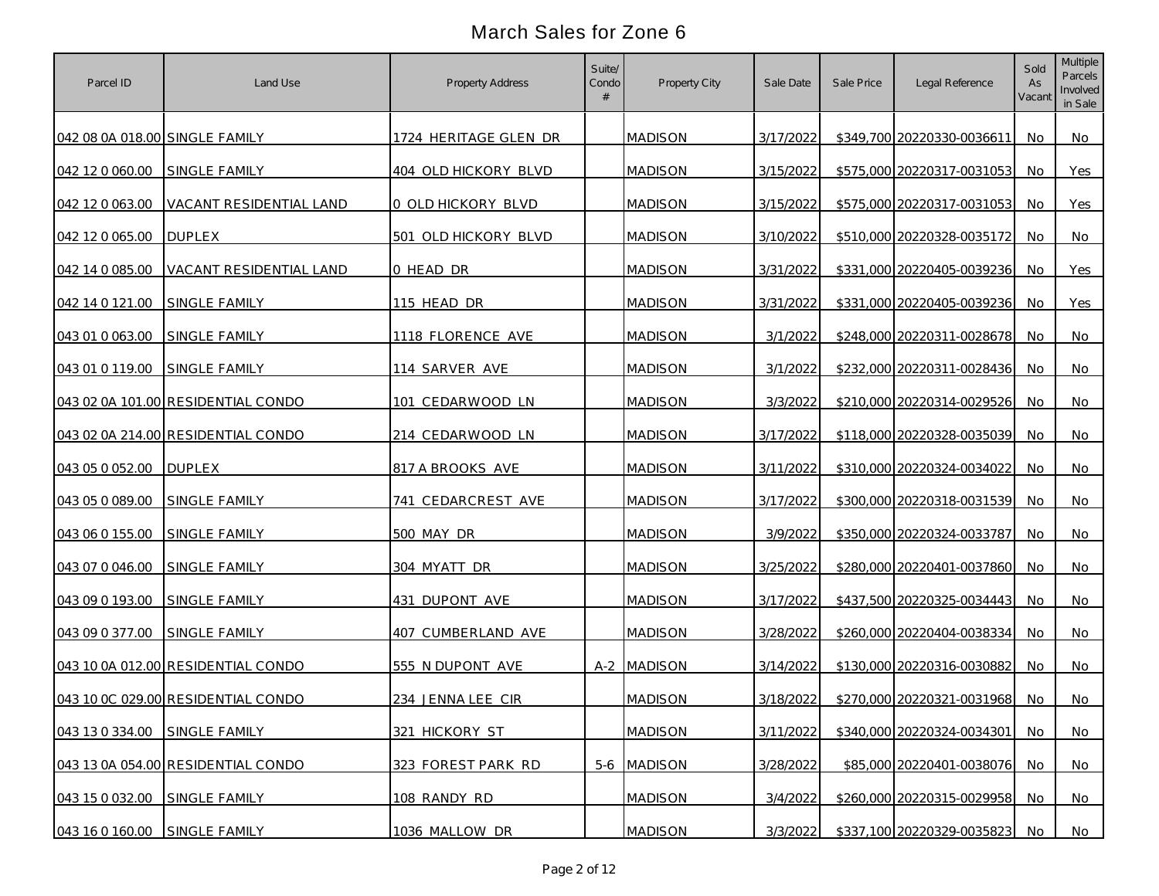| Parcel ID                      | Land Use                           | Property Address      | Suite/<br>Condo | Property City  | Sale Date | Sale Price | Legal Reference            | Sold<br>As<br>Vacant | Multiple<br>Parcels<br>Involved<br>in Sale |
|--------------------------------|------------------------------------|-----------------------|-----------------|----------------|-----------|------------|----------------------------|----------------------|--------------------------------------------|
| 042 08 0A 018.00 SINGLE FAMILY |                                    | 1724 HERITAGE GLEN DR |                 | <b>MADISON</b> | 3/17/2022 |            | \$349,700 20220330-0036611 | No                   | No                                         |
| 042 12 0 060.00                | SINGLE FAMILY                      | 404 OLD HICKORY BLVD  |                 | <b>MADISON</b> | 3/15/2022 |            | \$575,000 20220317-0031053 | <b>No</b>            | Yes                                        |
| 042 12 0 063 00                | VACANT RESIDENTIAL LAND            | 0 OLD HICKORY BLVD    |                 | <b>MADISON</b> | 3/15/2022 |            | \$575,000 20220317-0031053 | No                   | Yes                                        |
| 042 12 0 065.00                | <b>DUPLEX</b>                      | 501 OLD HICKORY BLVD  |                 | <b>MADISON</b> | 3/10/2022 |            | \$510,000 20220328-0035172 | No                   | No                                         |
| 042 14 0 085.00                | VACANT RESIDENTIAL LAND            | 0 HEAD DR             |                 | <b>MADISON</b> | 3/31/2022 |            | \$331,000 20220405-0039236 | No                   | Yes                                        |
| 042 14 0 121.00                | <b>SINGLE FAMILY</b>               | 115 HEAD DR           |                 | <b>MADISON</b> | 3/31/2022 |            | \$331,000 20220405-0039236 | <b>No</b>            | Yes                                        |
| 043 01 0 063.00                | SINGLE FAMILY                      | 1118 FLORENCE AVE     |                 | <b>MADISON</b> | 3/1/2022  |            | \$248,000 20220311-0028678 | No                   | No                                         |
| 043 01 0 119.00                | SINGLE FAMILY                      | 114 SARVER AVE        |                 | <b>MADISON</b> | 3/1/2022  |            | \$232,000 20220311-0028436 | No                   | No                                         |
|                                | 043 02 0A 101.00 RESIDENTIAL CONDO | 101 CEDARWOOD LN      |                 | <b>MADISON</b> | 3/3/2022  |            | \$210,000 20220314-0029526 | No                   | No                                         |
|                                | 043 02 0A 214.00 RESIDENTIAL CONDO | 214 CEDARWOOD LN      |                 | <b>MADISON</b> | 3/17/2022 |            | \$118,000 20220328-0035039 | No.                  | No                                         |
| 043 05 0 052.00                | <b>IDUPLEX</b>                     | 817 A BROOKS AVE      |                 | <b>MADISON</b> | 3/11/2022 |            | \$310,000 20220324-0034022 | No.                  | No                                         |
| 043 05 0 089.00                | <b>SINGLE FAMILY</b>               | 741 CEDARCREST AVE    |                 | <b>MADISON</b> | 3/17/2022 |            | \$300,000 20220318-0031539 | No.                  | No                                         |
| 043 06 0 155.00                | <b>SINGLE FAMILY</b>               | 500 MAY DR            |                 | <b>MADISON</b> | 3/9/2022  |            | \$350,000 20220324-0033787 | <b>No</b>            | No                                         |
| 043 07 0 046.00                | SINGLE FAMILY                      | 304 MYATT DR          |                 | MADISON        | 3/25/2022 |            | \$280,000 20220401-0037860 | No.                  | No                                         |
| 043 09 0 193.00                | SINGLE FAMILY                      | 431 DUPONT AVE        |                 | <b>MADISON</b> | 3/17/2022 |            | \$437,500 20220325-0034443 | No                   | No                                         |
| 043 09 0 377.00                | <b>SINGLE FAMILY</b>               | 407 CUMBERLAND AVE    |                 | <b>MADISON</b> | 3/28/2022 |            | \$260,000 20220404-0038334 | No.                  | No                                         |
|                                | 043 10 0A 012.00 RESIDENTIAL CONDO | 555 N DUPONT AVE      |                 | A-2 MADISON    | 3/14/2022 |            | \$130,000 20220316-0030882 | No.                  | No                                         |
|                                | 043 10 0C 029.00 RESIDENTIAL CONDO | 234 JENNA LEE CIR     |                 | <b>MADISON</b> | 3/18/2022 |            | \$270,000 20220321-0031968 | No.                  | No                                         |
| 043 13 0 334.00 SINGLE FAMILY  |                                    | 321 HICKORY ST        |                 | <b>MADISON</b> | 3/11/2022 |            | \$340,000 20220324-0034301 | <b>No</b>            | <b>No</b>                                  |
|                                | 043 13 0A 054.00 RESIDENTIAL CONDO | 323 FOREST PARK RD    |                 | 5-6 MADISON    | 3/28/2022 |            | \$85,000 20220401-0038076  | No                   | <b>No</b>                                  |
| 043 15 0 032.00                | SINGLE FAMILY                      | 108 RANDY RD          |                 | <b>MADISON</b> | 3/4/2022  |            | \$260,000 20220315-0029958 | No                   | No                                         |
| 043 16 0 160.00 SINGLE FAMILY  |                                    | 1036 MALLOW DR        |                 | <b>MADISON</b> | 3/3/2022  |            | \$337,100 20220329-0035823 | No                   | No                                         |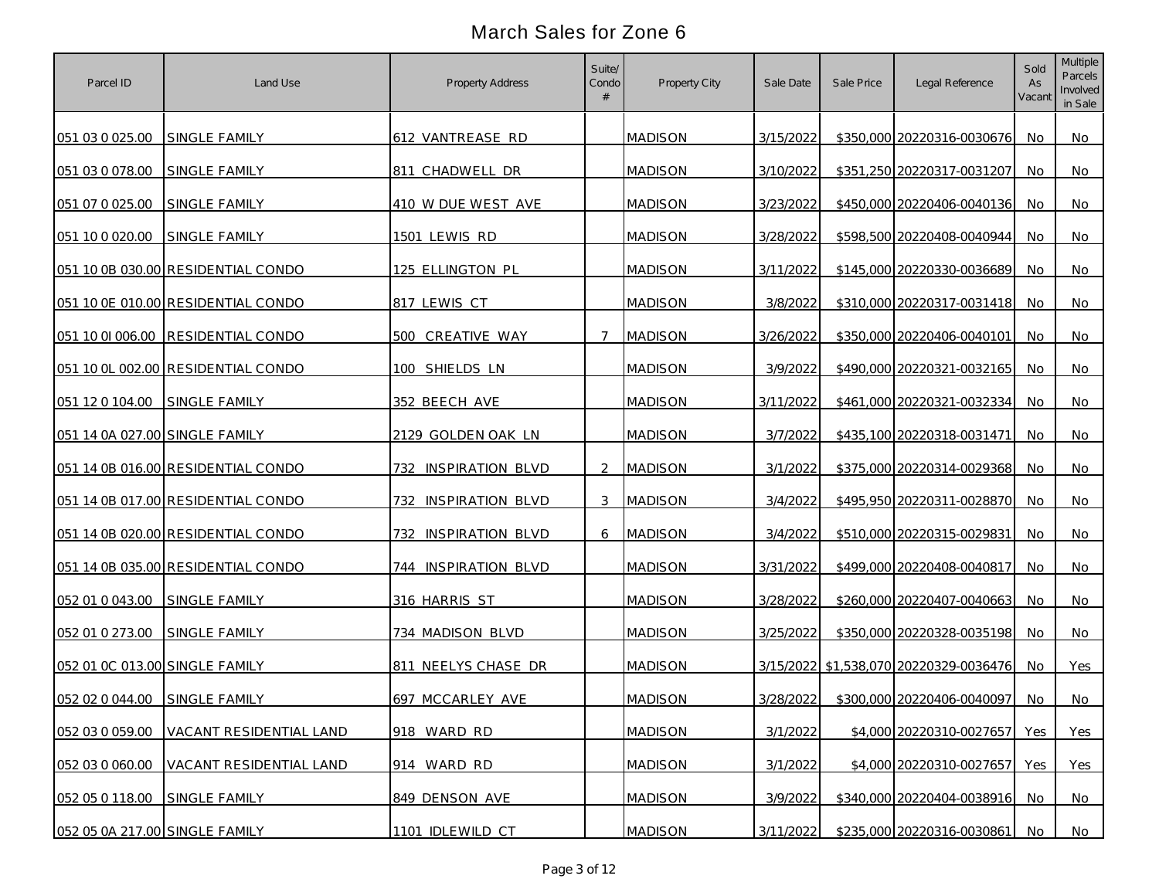| Parcel ID                      | Land Use                                | Property Address               | Suite/<br>Condo | Property City  | Sale Date | Sale Price | Legal Reference                        | Sold<br>As<br>Vacant | Multiple<br>Parcels<br>Involved<br>in Sale |
|--------------------------------|-----------------------------------------|--------------------------------|-----------------|----------------|-----------|------------|----------------------------------------|----------------------|--------------------------------------------|
| 051 03 0 025.00 SINGLE FAMILY  |                                         | 612 VANTREASE RD               |                 | <b>MADISON</b> | 3/15/2022 |            | \$350,000 20220316-0030676             | No.                  | No                                         |
| 051 03 0 078.00                | SINGLE FAMILY                           | 811 CHADWELL DR                |                 | <b>MADISON</b> | 3/10/2022 |            | \$351,250 20220317-0031207             | No                   | No                                         |
| 051 07 0 025.00                | SINGLE FAMILY                           | 410 W DUE WEST AVE             |                 | <b>MADISON</b> | 3/23/2022 |            | \$450,000 20220406-0040136             | No.                  | No                                         |
| 051 10 0 020.00                | SINGLE FAMILY                           | 1501 LEWIS RD                  |                 | MADISON        | 3/28/2022 |            | \$598,500 20220408-0040944             | No                   | No                                         |
|                                | 051 10 0B 030.00 RESIDENTIAL CONDO      | 125 ELLINGTON PL               |                 | <b>MADISON</b> | 3/11/2022 |            | \$145,000 20220330-0036689             | <b>No</b>            | No                                         |
|                                | 051 10 0E 010.00 RESIDENTIAL CONDO      | 817 LEWIS CT                   |                 | <b>MADISON</b> | 3/8/2022  |            | \$310,000 20220317-0031418             | No                   | No                                         |
|                                | 051 10 01 006.00 RESIDENTIAL CONDO      | 500 CREATIVE WAY               | $\tau$          | <b>MADISON</b> | 3/26/2022 |            | \$350,000 20220406-0040101             | No                   | No                                         |
|                                | 051 10 0L 002.00 RESIDENTIAL CONDO      | 100 SHIELDS LN                 |                 | <b>MADISON</b> | 3/9/2022  |            | \$490,000 20220321-0032165             | No                   | No                                         |
| 051 12 0 104.00 SINGLE FAMILY  |                                         | 352 BEECH AVE                  |                 | <b>MADISON</b> | 3/11/2022 |            | \$461,000 20220321-0032334             | No.                  | No                                         |
| 051 14 0A 027.00 SINGLE FAMILY |                                         | 2129 GOLDEN OAK LN             |                 | <b>MADISON</b> | 3/7/2022  |            | \$435,100 20220318-0031471             | No.                  | No                                         |
|                                | 051 14 0B 016.00 RESIDENTIAL CONDO      | <b>INSPIRATION BLVD</b><br>732 | $\mathcal{P}$   | <b>MADISON</b> | 3/1/2022  |            | \$375,000 20220314-0029368             | <b>No</b>            | No                                         |
|                                | 051 14 0B 017.00 RESIDENTIAL CONDO      | 732 INSPIRATION BLVD           | $\mathcal{S}$   | <b>MADISON</b> | 3/4/2022  |            | \$495,950 20220311-0028870             | No.                  | No                                         |
|                                | 051 14 0B 020.00 RESIDENTIAL CONDO      | 732<br><b>INSPIRATION BLVD</b> | 6               | <b>MADISON</b> | 3/4/2022  |            | \$510,000 20220315-0029831             | <b>No</b>            | No                                         |
|                                | 051 14 0B 035.00 RESIDENTIAL CONDO      | 744 INSPIRATION BLVD           |                 | MADISON        | 3/31/2022 |            | \$499,000 20220408-0040817             | No.                  | No                                         |
| 052 01 0 043.00                | SINGLE FAMILY                           | 316 HARRIS ST                  |                 | <b>MADISON</b> | 3/28/2022 |            | \$260,000 20220407-0040663             | No                   | No                                         |
| 052 01 0 273.00                | SINGLE FAMILY                           | 734 MADISON BLVD               |                 | <b>MADISON</b> | 3/25/2022 |            | \$350,000 20220328-0035198             | No.                  | No                                         |
| 052 01 OC 013.00 SINGLE FAMILY |                                         | 811 NEELYS CHASE DR            |                 | <b>MADISON</b> |           |            | 3/15/2022 \$1,538,070 20220329-0036476 | No.                  | Yes                                        |
| 052 02 0 044.00 SINGLE FAMILY  |                                         | 697 MCCARLEY AVE               |                 | <b>MADISON</b> | 3/28/2022 |            | \$300,000 20220406-0040097             | No.                  | No                                         |
|                                | 052 03 0 059.00 VACANT RESIDENTIAL LAND | 918 WARD RD                    |                 | <b>MADISON</b> | 3/1/2022  |            | \$4,000 20220310-0027657               | Yes                  | Yes                                        |
| 052 03 0 060.00                | VACANT RESIDENTIAL LAND                 | 914 WARD RD                    |                 | <b>MADISON</b> | 3/1/2022  |            | \$4,000 20220310-0027657               | Yes                  | Yes                                        |
| 052 05 0 118.00                | SINGLE FAMILY                           | 849 DENSON AVE                 |                 | <b>MADISON</b> | 3/9/2022  |            | \$340,000 20220404-0038916             | No                   | No                                         |
| 052 05 0A 217.00 SINGLE FAMILY |                                         | 1101 IDLEWILD CT               |                 | <b>MADISON</b> | 3/11/2022 |            | \$235,000 20220316-0030861             | No                   | No                                         |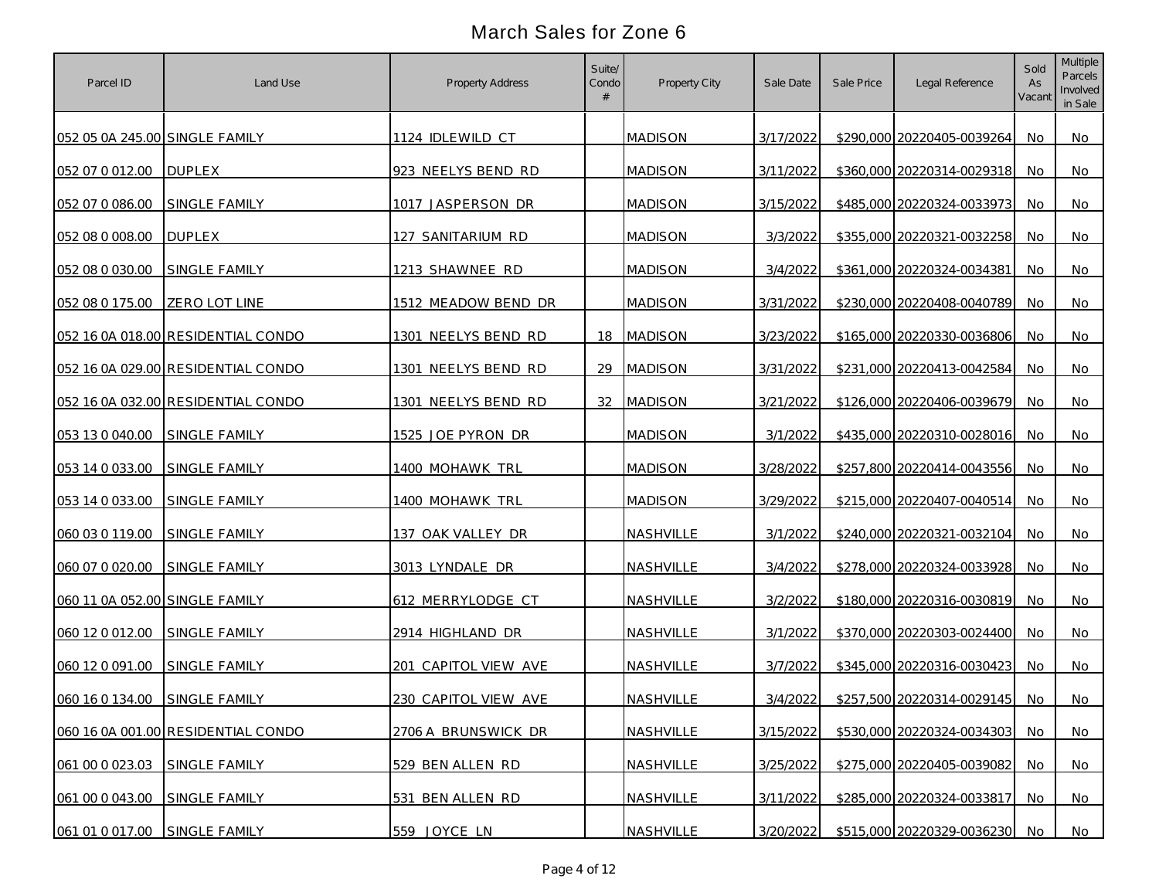| Parcel ID                      | Land Use                           | Property Address       | Suite/<br>Condo | Property City    | Sale Date | Sale Price | Legal Reference            | Sold<br>As<br>Vacant | Multiple<br>Parcels<br>Involved<br>in Sale |
|--------------------------------|------------------------------------|------------------------|-----------------|------------------|-----------|------------|----------------------------|----------------------|--------------------------------------------|
| 052 05 0A 245.00 SINGLE FAMILY |                                    | 1124 IDLEWILD CT       |                 | <b>MADISON</b>   | 3/17/2022 |            | \$290,000 20220405-0039264 | No                   | No                                         |
| 052 07 0 012.00 DUPLEX         |                                    | 923 NEELYS BEND RD     |                 | <b>MADISON</b>   | 3/11/2022 |            | \$360,000 20220314-0029318 | No                   | No                                         |
| 052 07 0 086.00                | SINGLE FAMILY                      | 1017 JASPERSON DR      |                 | <b>MADISON</b>   | 3/15/2022 |            | \$485,000 20220324-0033973 | No                   | No                                         |
| 052 08 0 008.00                | <b>DUPLEX</b>                      | 127 SANITARIUM RD      |                 | MADISON          | 3/3/2022  |            | \$355,000 20220321-0032258 | No                   | No                                         |
| 052 08 0 030.00                | <b>SINGLE FAMILY</b>               | 1213 SHAWNEE RD        |                 | <b>MADISON</b>   | 3/4/2022  |            | \$361,000 20220324-0034381 | <b>No</b>            | No                                         |
| 052 08 0 175.00                | <b>ZERO LOT LINE</b>               | 1512 MEADOW BEND DR    |                 | <b>MADISON</b>   | 3/31/2022 |            | \$230,000 20220408-0040789 | No                   | No                                         |
|                                | 052 16 0A 018.00 RESIDENTIAL CONDO | 1301 NEELYS BEND RD    | 18              | <b>MADISON</b>   | 3/23/2022 |            | \$165,000 20220330-0036806 | No                   | No                                         |
|                                | 052 16 0A 029.00 RESIDENTIAL CONDO | 1301 NEELYS BEND RD    | 29              | <b>MADISON</b>   | 3/31/2022 |            | \$231,000 20220413-0042584 | No                   | No                                         |
|                                | 052 16 0A 032.00 RESIDENTIAL CONDO | 1301 NEELYS BEND RD    | 32              | <b>MADISON</b>   | 3/21/2022 |            | \$126,000 20220406-0039679 | No                   | No                                         |
| 053 13 0 040.00 SINGLE FAMILY  |                                    | 1525 JOE PYRON DR      |                 | <b>MADISON</b>   | 3/1/2022  |            | \$435,000 20220310-0028016 | No.                  | No                                         |
| 053 14 0 033.00                | <b>SINGLE FAMILY</b>               | <u>1400 MOHAWK TRL</u> |                 | <b>MADISON</b>   | 3/28/2022 |            | \$257,800 20220414-0043556 | No.                  | No                                         |
| 053 14 0 033.00                | <b>SINGLE FAMILY</b>               | 1400 MOHAWK TRL        |                 | <b>MADISON</b>   | 3/29/2022 |            | \$215,000 20220407-0040514 | No.                  | No                                         |
| 060 03 0 119.00                | SINGLE FAMILY                      | 137 OAK VALLEY DR      |                 | NASHVILLE        | 3/1/2022  |            | \$240,000 20220321-0032104 | <b>No</b>            | No                                         |
| 060 07 0 020.00                | SINGLE FAMILY                      | 3013 LYNDALE DR        |                 | NASHVILLE        | 3/4/2022  |            | \$278,000 20220324-0033928 | No                   | No                                         |
| 060 11 0A 052.00 SINGLE FAMILY |                                    | 612 MERRYLODGE CT      |                 | NASHVILLE        | 3/2/2022  |            | \$180,000 20220316-0030819 | No                   | No                                         |
| 060 12 0 012.00                | SINGLE FAMILY                      | 2914 HIGHLAND DR       |                 | NASHVILLE        | 3/1/2022  |            | \$370,000 20220303-0024400 | No.                  | No                                         |
| 060 12 0 091.00                | SINGLE FAMILY                      | 201 CAPITOL VIEW AVE   |                 | <b>NASHVILLE</b> | 3/7/2022  |            | \$345,000 20220316-0030423 | No.                  | No                                         |
| 060 16 0 134.00                | SINGLE FAMILY                      | 230 CAPITOL VIEW AVE   |                 | NASHVILLE        | 3/4/2022  |            | \$257,500 20220314-0029145 | No.                  | No                                         |
|                                | 060 16 0A 001.00 RESIDENTIAL CONDO | 2706 A BRUNSWICK DR    |                 | NASHVILLE        | 3/15/2022 |            | \$530,000 20220324-0034303 | <b>No</b>            | No                                         |
| 061 00 0 023.03 SINGLE FAMILY  |                                    | 529 BEN ALLEN RD       |                 | NASHVILLE        | 3/25/2022 |            | \$275,000 20220405-0039082 | No                   | <b>No</b>                                  |
| 061 00 0 043.00                | SINGLE FAMILY                      | 531 BEN ALLEN RD       |                 | NASHVILLE        | 3/11/2022 |            | \$285,000 20220324-0033817 | No                   | No                                         |
| 061 01 0 017.00 SINGLE FAMILY  |                                    | 559 JOYCE LN           |                 | NASHVILLE        | 3/20/2022 |            | \$515,000 20220329-0036230 | No                   | No                                         |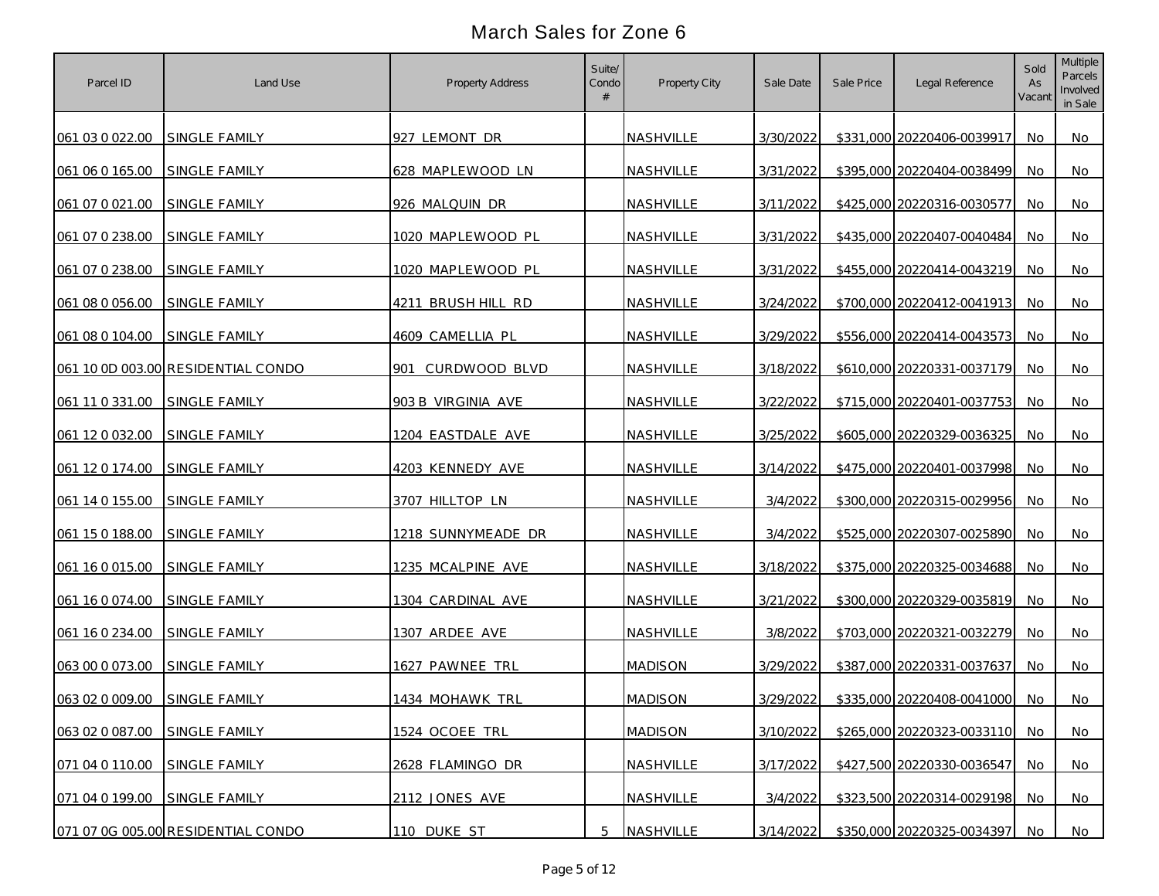| Parcel ID                     | Land Use                           | Property Address   | Suite/<br>Condo | Property City    | Sale Date | Sale Price | Legal Reference            | Sold<br>As<br>Vacant | Multiple<br>Parcels<br>Involved<br>in Sale |
|-------------------------------|------------------------------------|--------------------|-----------------|------------------|-----------|------------|----------------------------|----------------------|--------------------------------------------|
| 061 03 0 022.00 SINGLE FAMILY |                                    | 927 LEMONT DR      |                 | <b>NASHVILLE</b> | 3/30/2022 |            | \$331,000 20220406-0039917 | No.                  | No                                         |
| 061 06 0 165.00               | SINGLE FAMILY                      | 628 MAPLEWOOD LN   |                 | NASHVILLE        | 3/31/2022 |            | \$395,000 20220404-0038499 | No                   | No                                         |
| 061 07 0 021.00               | SINGLE FAMILY                      | 926 MALQUIN DR     |                 | NASHVILLE        | 3/11/2022 |            | \$425,000 20220316-0030577 | No                   | No                                         |
| 061 07 0 238.00               | SINGLE FAMILY                      | 1020 MAPLEWOOD PL  |                 | NASHVILLE        | 3/31/2022 |            | \$435,000 20220407-0040484 | No                   | No                                         |
| 061 07 0 238.00               | SINGLE FAMILY                      | 1020 MAPLEWOOD PL  |                 | NASHVILLE        | 3/31/2022 |            | \$455,000 20220414-0043219 | No                   | No                                         |
| 061 08 0 056.00               | SINGLE FAMILY                      | 4211 BRUSH HILL RD |                 | NASHVILLE        | 3/24/2022 |            | \$700,000 20220412-0041913 | No                   | No                                         |
| 061 08 0 104.00               | <b>SINGLE FAMILY</b>               | 4609 CAMELLIA PL   |                 | NASHVILLE        | 3/29/2022 |            | \$556,000 20220414-0043573 | No                   | No                                         |
|                               | 061 10 0D 003.00 RESIDENTIAL CONDO | 901 CURDWOOD BLVD  |                 | NASHVILLE        | 3/18/2022 |            | \$610,000 20220331-0037179 | No.                  | No                                         |
| 061 11 0 331.00               | <b>SINGLE FAMILY</b>               | 903 B VIRGINIA AVE |                 | NASHVILLE        | 3/22/2022 |            | \$715,000 20220401-0037753 | No                   | No                                         |
| 061 12 0 032.00               | SINGLE FAMILY                      | 1204 EASTDALE AVE  |                 | NASHVILLE        | 3/25/2022 |            | \$605,000 20220329-0036325 | No.                  | No                                         |
| 061 12 0 174.00               | <b>SINGLE FAMILY</b>               | 4203 KENNEDY AVE   |                 | NASHVILLE        | 3/14/2022 |            | \$475,000 20220401-0037998 | No.                  | No                                         |
| 061 14 0 155.00               | SINGLE FAMILY                      | 3707 HILLTOP LN    |                 | <b>NASHVILLE</b> | 3/4/2022  |            | \$300,000 20220315-0029956 | No.                  | No                                         |
| 061 15 0 188.00               | SINGLE FAMILY                      | 1218 SUNNYMEADE DR |                 | NASHVILLE        | 3/4/2022  |            | \$525,000 20220307-0025890 | <b>No</b>            | No                                         |
| 061 16 0 015.00               | <b>SINGLE FAMILY</b>               | 1235 MCALPINE AVE  |                 | NASHVILLE        | 3/18/2022 |            | \$375,000 20220325-0034688 | No                   | No                                         |
| 061 16 0 074.00               | <b>SINGLE FAMILY</b>               | 1304 CARDINAL AVE  |                 | NASHVILLE        | 3/21/2022 |            | \$300,000 20220329-0035819 | No                   | No                                         |
| 061 16 0 234.00               | SINGLE FAMILY                      | 1307 ARDEE AVE     |                 | NASHVILLE        | 3/8/2022  |            | \$703,000 20220321-0032279 | No.                  | No                                         |
| 063 00 0 073.00               | SINGLE FAMILY                      | 1627 PAWNEE TRL    |                 | <b>MADISON</b>   | 3/29/2022 |            | \$387,000 20220331-0037637 | No.                  | No                                         |
| 063 02 0 009.00               | SINGLE FAMILY                      | 1434 MOHAWK TRL    |                 | <b>MADISON</b>   | 3/29/2022 |            | \$335,000 20220408-0041000 | No.                  | No                                         |
| 063 02 0 087.00               | SINGLE FAMILY                      | 1524 OCOEE TRL     |                 | <b>MADISON</b>   | 3/10/2022 |            | \$265,000 20220323-0033110 | <b>No</b>            | No                                         |
| 071 04 0 110.00               | SINGLE FAMILY                      | 2628 FLAMINGO DR   |                 | NASHVILLE        | 3/17/2022 |            | \$427,500 20220330-0036547 | No                   | <b>No</b>                                  |
| 071 04 0 199.00               | SINGLE FAMILY                      | 2112 JONES AVE     |                 | NASHVILLE        | 3/4/2022  |            | \$323,500 20220314-0029198 | No                   | No                                         |
|                               | 071 07 0G 005.00 RESIDENTIAL CONDO | 110 DUKE ST        | 5               | NASHVILLE        | 3/14/2022 |            | \$350,000 20220325-0034397 | No                   | No                                         |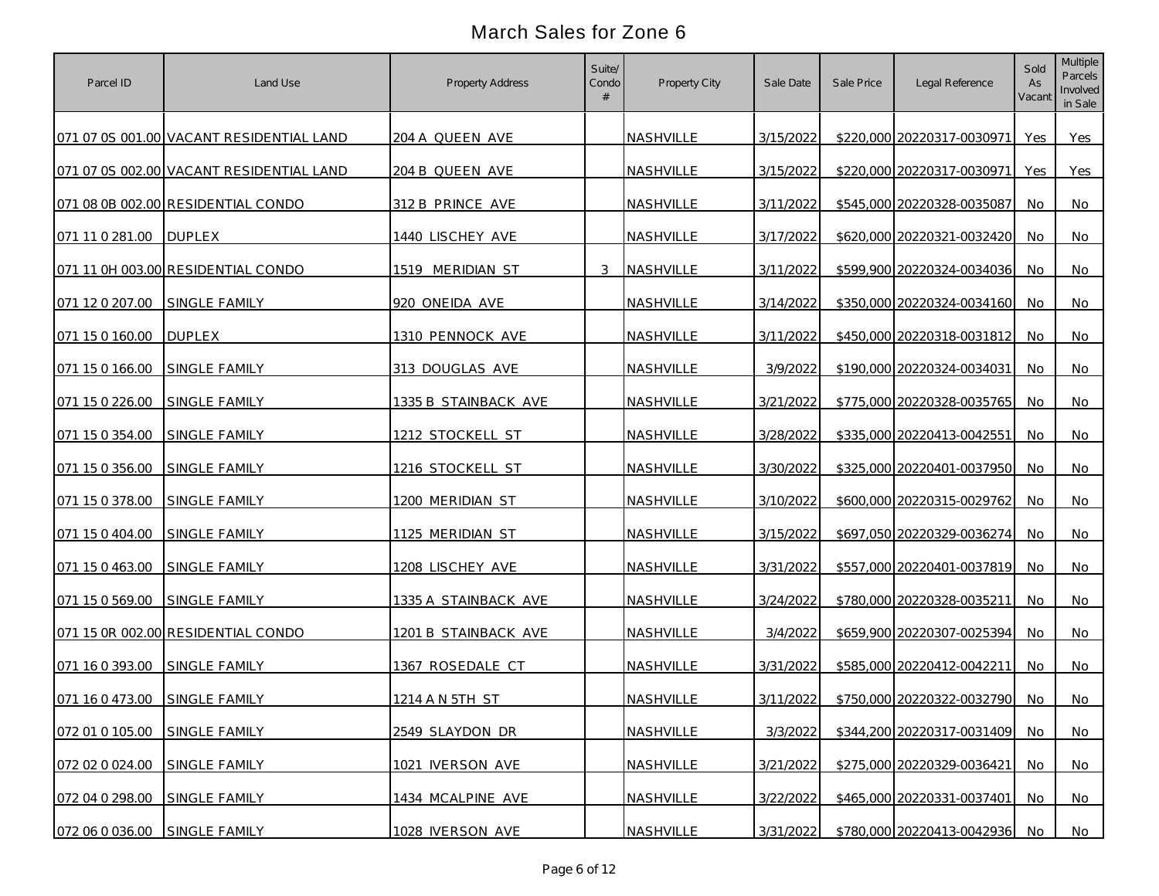| Parcel ID                     | Land Use                                 | Property Address     | Suite/<br>Condo | Property City    | Sale Date | Sale Price | Legal Reference            | Sold<br>As<br>Vacant | Multiple<br>Parcels<br>Involved<br>in Sale |
|-------------------------------|------------------------------------------|----------------------|-----------------|------------------|-----------|------------|----------------------------|----------------------|--------------------------------------------|
|                               | 071 07 0S 001.00 VACANT RESIDENTIAL LAND | 204 A QUEEN AVE      |                 | NASHVILLE        | 3/15/2022 |            | \$220,000 20220317-0030971 | Yes                  | <b>Yes</b>                                 |
|                               | 071 07 0S 002.00 VACANT RESIDENTIAL LAND | 204 B QUEEN AVE      |                 | NASHVILLE        | 3/15/2022 |            | \$220,000 20220317-0030971 | Yes                  | Yes                                        |
|                               | 071 08 0B 002.00 RESIDENTIAL CONDO       | 312 B PRINCE AVE     |                 | NASHVILLE        | 3/11/2022 |            | \$545,000 20220328-0035087 | No                   | No                                         |
| 071 11 0 281.00               | <b>DUPLEX</b>                            | 1440 LISCHEY AVE     |                 | NASHVILLE        | 3/17/2022 |            | \$620,000 20220321-0032420 | No                   | No                                         |
|                               | 071 11 0H 003.00 RESIDENTIAL CONDO       | 1519 MERIDIAN ST     | 3               | NASHVILLE        | 3/11/2022 |            | \$599,900 20220324-0034036 | No                   | No                                         |
| 071 12 0 207.00               | SINGLE FAMILY                            | 920 ONEIDA AVE       |                 | NASHVILLE        | 3/14/2022 |            | \$350,000 20220324-0034160 | <b>No</b>            | No                                         |
| 071 15 0 160.00               | <b>DUPLEX</b>                            | 1310 PENNOCK AVE     |                 | NASHVILLE        | 3/11/2022 |            | \$450,000 20220318-0031812 | No.                  | No                                         |
| 071 15 0 166.00               | SINGLE FAMILY                            | 313 DOUGLAS AVE      |                 | NASHVILLE        | 3/9/2022  |            | \$190,000 20220324-0034031 | No                   | No                                         |
| 071 15 0 226.00               | SINGLE FAMILY                            | 1335 B STAINBACK AVE |                 | NASHVILLE        | 3/21/2022 |            | \$775,000 20220328-0035765 | No.                  | No                                         |
| 071 15 0 354.00               | <b>SINGLE FAMILY</b>                     | 1212 STOCKELL ST     |                 | NASHVILLE        | 3/28/2022 |            | \$335,000 20220413-0042551 | No.                  | No                                         |
| 071 15 0 356.00               | <b>SINGLE FAMILY</b>                     | 1216 STOCKELL ST     |                 | <b>NASHVILLE</b> | 3/30/2022 |            | \$325,000 20220401-0037950 | <b>No</b>            | No                                         |
| 071 15 0 378.00               | SINGLE FAMILY                            | 1200 MERIDIAN ST     |                 | NASHVILLE        | 3/10/2022 |            | \$600,000 20220315-0029762 | No                   | No                                         |
| 071 15 0 404.00               | SINGLE FAMILY                            | 1125 MERIDIAN ST     |                 | NASHVILLE        | 3/15/2022 |            | \$697,050 20220329-0036274 | <b>No</b>            | No                                         |
| 071 15 0 463.00               | SINGLE FAMILY                            | 1208 LISCHEY AVE     |                 | NASHVILLE        | 3/31/2022 |            | \$557,000 20220401-0037819 | <b>No</b>            | No                                         |
| 071 15 0 569.00               | SINGLE FAMILY                            | 1335 A STAINBACK AVE |                 | NASHVILLE        | 3/24/2022 |            | \$780,000 20220328-0035211 | No.                  | No                                         |
|                               | 071 15 0R 002.00 RESIDENTIAL CONDO       | 1201 B STAINBACK AVE |                 | NASHVILLE        | 3/4/2022  |            | \$659,900 20220307-0025394 | No.                  | No                                         |
| 071 16 0 393.00               | SINGLE FAMILY                            | 1367 ROSEDALE CT     |                 | NASHVILLE        | 3/31/2022 |            | \$585,000 20220412-0042211 | No.                  | No                                         |
| 071 16 0 473.00 SINGLE FAMILY |                                          | 1214 A N 5TH ST      |                 | NASHVILLE        | 3/11/2022 |            | \$750,000 20220322-0032790 | No.                  | No.                                        |
| 072 01 0 105.00               | SINGLE FAMILY                            | 2549 SLAYDON DR      |                 | NASHVILLE        | 3/3/2022  |            | \$344,200 20220317-0031409 | No.                  | <b>No</b>                                  |
| 072 02 0 024.00               | SINGLE FAMILY                            | 1021 IVERSON AVE     |                 | NASHVILLE        | 3/21/2022 |            | \$275,000 20220329-0036421 | <b>No</b>            | <b>No</b>                                  |
| 072 04 0 298.00               | SINGLE FAMILY                            | 1434 MCALPINE AVE    |                 | NASHVILLE        | 3/22/2022 |            | \$465,000 20220331-0037401 | No.                  | No                                         |
| 072 06 0 036.00 SINGLE FAMILY |                                          | 1028 IVERSON AVE     |                 | NASHVILLE        | 3/31/2022 |            | \$780,000 20220413-0042936 | No.                  | No                                         |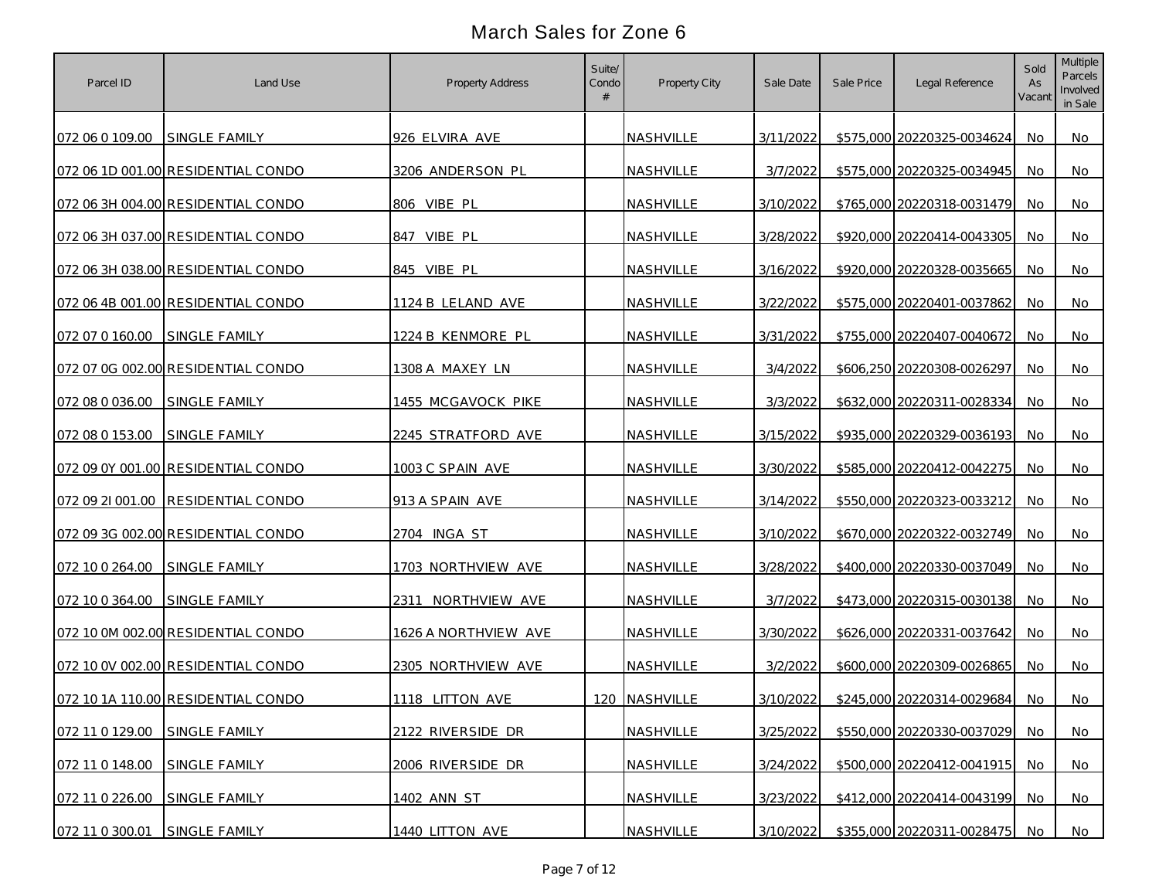| Parcel ID                     | Land Use                           | Property Address           | Suite/<br>Condo | Property City    | Sale Date | Sale Price | Legal Reference            | Sold<br>As<br>Vacant | Multiple<br>Parcels<br>Involved<br>in Sale |
|-------------------------------|------------------------------------|----------------------------|-----------------|------------------|-----------|------------|----------------------------|----------------------|--------------------------------------------|
| 072 06 0 109.00               | <b>SINGLE FAMILY</b>               | 926 ELVIRA AVE             |                 | NASHVILLE        | 3/11/2022 |            | \$575,000 20220325-0034624 | No.                  | No.                                        |
|                               | 072 06 1D 001.00 RESIDENTIAL CONDO | 3206 ANDERSON PL           |                 | NASHVILLE        | 3/7/2022  |            | \$575,000 20220325-0034945 | <b>No</b>            | No                                         |
|                               | 072 06 3H 004.00 RESIDENTIAL CONDO | 806 VIBE PL                |                 | NASHVILLE        | 3/10/2022 |            | \$765,000 20220318-0031479 | No                   | No                                         |
|                               | 072 06 3H 037.00 RESIDENTIAL CONDO | VIBE PL<br>847             |                 | NASHVILLE        | 3/28/2022 |            | \$920,000 20220414-0043305 | No                   | No                                         |
|                               | 072 06 3H 038.00 RESIDENTIAL CONDO | 845 VIBE PL                |                 | NASHVILLE        | 3/16/2022 |            | \$920,000 20220328-0035665 | No                   | No.                                        |
|                               | 072 06 4B 001.00 RESIDENTIAL CONDO | 1124 B LELAND AVE          |                 | NASHVILLE        | 3/22/2022 |            | \$575,000 20220401-0037862 | No.                  | No                                         |
| 072 07 0 160.00 SINGLE FAMILY |                                    | 1224 B KENMORE PL          |                 | NASHVILLE        | 3/31/2022 |            | \$755,000 20220407-0040672 | No.                  | No.                                        |
|                               | 072 07 0G 002.00 RESIDENTIAL CONDO | 1308 A MAXEY LN            |                 | NASHVILLE        | 3/4/2022  |            | \$606,250 20220308-0026297 | No                   | No                                         |
| 072 08 0 036.00               | SINGLE FAMILY                      | 1455 MCGAVOCK PIKE         |                 | NASHVILLE        | 3/3/2022  |            | \$632,000 20220311-0028334 | No                   | No.                                        |
| 072 08 0 153.00               | <b>SINGLE FAMILY</b>               | 2245 STRATFORD AVE         |                 | NASHVILLE        | 3/15/2022 |            | \$935,000 20220329-0036193 | No.                  | No.                                        |
|                               | 072 09 0Y 001.00 RESIDENTIAL CONDO | 1003 C SPAIN AVE           |                 | NASHVILLE        | 3/30/2022 |            | \$585,000 20220412-0042275 | No                   | No                                         |
|                               | 072 09 21 001.00 RESIDENTIAL CONDO | 913 A SPAIN AVE            |                 | <b>NASHVILLE</b> | 3/14/2022 |            | \$550,000 20220323-0033212 | No                   | No                                         |
|                               | 072 09 3G 002.00 RESIDENTIAL CONDO | 2704 INGA ST               |                 | NASHVILLE        | 3/10/2022 |            | \$670,000 20220322-0032749 | No                   | No.                                        |
| 072 10 0 264.00               | SINGLE FAMILY                      | 1703 NORTHVIEW AVE         |                 | NASHVILLE        | 3/28/2022 |            | \$400,000 20220330-0037049 | No                   | No.                                        |
| 072 10 0 364.00               | <b>SINGLE FAMILY</b>               | 231 <u>1 NORTHVIEW AVE</u> |                 | NASHVILLE        | 3/7/2022  |            | \$473,000 20220315-0030138 | No.                  | No                                         |
|                               | 072 10 0M 002.00 RESIDENTIAL CONDO | 1626 A NORTHVIEW AVE       |                 | NASHVILLE        | 3/30/2022 |            | \$626,000 20220331-0037642 | No.                  | No                                         |
|                               | 072 10 0V 002.00 RESIDENTIAL CONDO | 2305 NORTHVIEW AVE         |                 | NASHVILLE        | 3/2/2022  |            | \$600,000 20220309-0026865 | No.                  | No.                                        |
|                               | 072 10 1A 110.00 RESIDENTIAL CONDO | 1118 LITTON AVE            |                 | 120 NASHVILLE    | 3/10/2022 |            | \$245,000 20220314-0029684 | No.                  | No                                         |
| 072 11 0 129.00               | SINGLE FAMILY                      | 2122 RIVERSIDE DR          |                 | NASHVILLE        | 3/25/2022 |            | \$550,000 20220330-0037029 | No                   | <b>No</b>                                  |
| 072 11 0 148.00               | SINGLE FAMILY                      | 2006 RIVERSIDE DR          |                 | NASHVILLE        | 3/24/2022 |            | \$500,000 20220412-0041915 | No                   | No                                         |
| 072 11 0 226.00               | SINGLE FAMILY                      | 1402 ANN ST                |                 | NASHVILLE        | 3/23/2022 |            | \$412,000 20220414-0043199 | No.                  | <b>No</b>                                  |
| 072 11 0 300.01 SINGLE FAMILY |                                    | 1440 LITTON AVE            |                 | NASHVILLE        | 3/10/2022 |            | \$355,000 20220311-0028475 | No.                  | No                                         |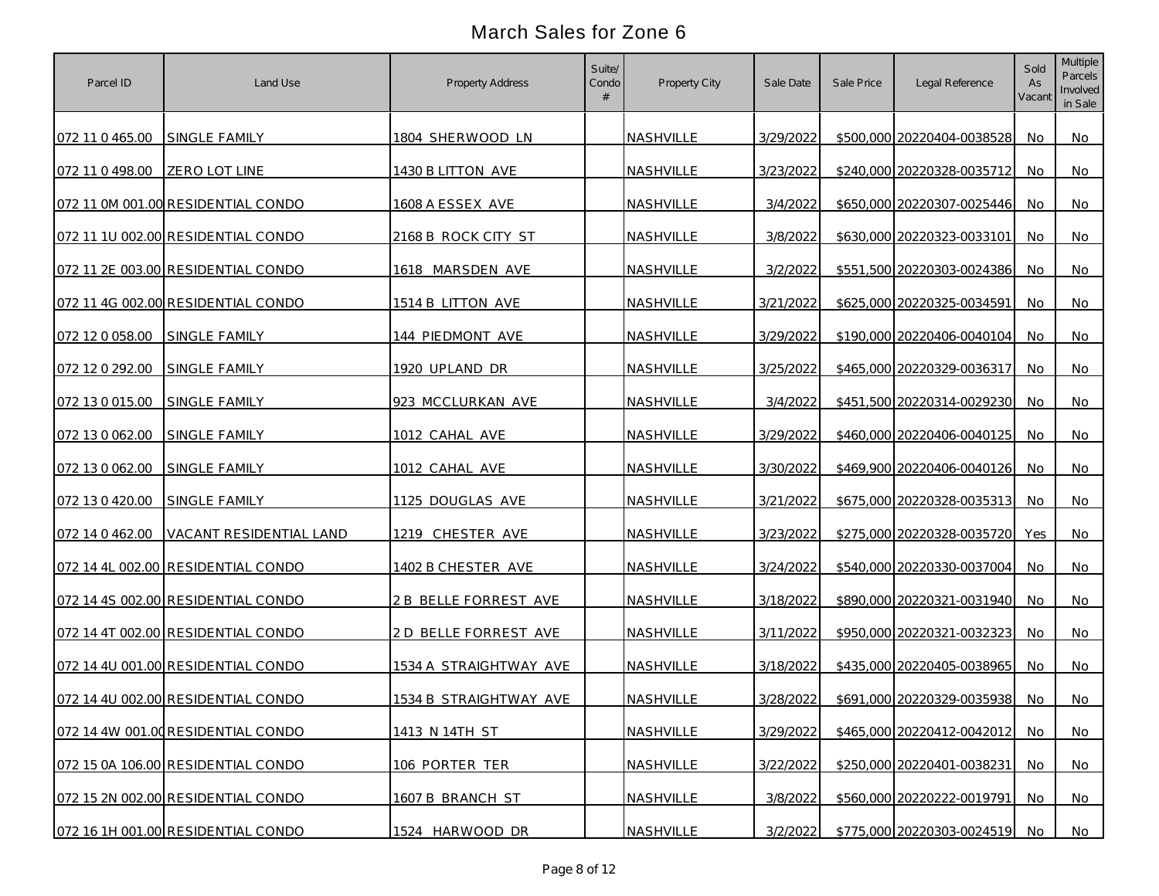| Parcel ID                     | Land Use                           | Property Address       | Suite/<br>Condo | Property City    | Sale Date | Sale Price | Legal Reference               | Sold<br>As<br>Vacant | Multiple<br>Parcels<br>Involved<br>in Sale |
|-------------------------------|------------------------------------|------------------------|-----------------|------------------|-----------|------------|-------------------------------|----------------------|--------------------------------------------|
| 072 11 0 465.00 SINGLE FAMILY |                                    | 1804 SHERWOOD LN       |                 | NASHVILLE        | 3/29/2022 |            | \$500,000 20220404-0038528    | No                   | No                                         |
| 072 11 0 498.00               | <b>ZERO LOT LINE</b>               | 1430 B LITTON AVE      |                 | NASHVILLE        | 3/23/2022 |            | \$240,000 20220328-0035712    | No                   | No                                         |
|                               | 072 11 0M 001.00 RESIDENTIAL CONDO | 1608 A ESSEX AVE       |                 | NASHVILLE        | 3/4/2022  |            | \$650,000 20220307-0025446    | No                   | No                                         |
|                               | 072 11 1U 002.00 RESIDENTIAL CONDO | 2168 B ROCK CITY ST    |                 | NASHVILLE        | 3/8/2022  |            | \$630,000 20220323-0033101    | No                   | No                                         |
|                               | 072 11 2E 003.00 RESIDENTIAL CONDO | 1618 MARSDEN AVE       |                 | NASHVILLE        | 3/2/2022  |            | \$551,500 20220303-0024386    | <b>No</b>            | No                                         |
|                               | 072 11 4G 002.00 RESIDENTIAL CONDO | 1514 B LITTON AVE      |                 | NASHVILLE        | 3/21/2022 |            | \$625,000 20220325-0034591    | <b>No</b>            | No                                         |
| 072 12 0 058.00               | <b>SINGLE FAMILY</b>               | 144 PIEDMONT AVE       |                 | NASHVILLE        | 3/29/2022 |            | \$190,000 20220406-0040104    | No.                  | No                                         |
| 072 12 0 292.00               | SINGLE FAMILY                      | 1920 UPLAND DR         |                 | NASHVILLE        | 3/25/2022 |            | \$465,000 20220329-0036317    | No                   | No                                         |
| 072 13 0 015.00               | SINGLE FAMILY                      | 923 MCCLURKAN AVE      |                 | NASHVILLE        | 3/4/2022  |            | \$451,500 20220314-0029230    | No.                  | No                                         |
| 072 13 0 062.00               | SINGLE FAMILY                      | 1012 CAHAL AVE         |                 | NASHVILLE        | 3/29/2022 |            | \$460,000 20220406-0040125    | No.                  | No                                         |
| 072 13 0 062.00               | <b>SINGLE FAMILY</b>               | 1012 CAHAL AVE         |                 | NASHVILLE        | 3/30/2022 |            | \$469,900 20220406-0040126    | <b>No</b>            | No                                         |
| 072 13 0 420.00               | <b>SINGLE FAMILY</b>               | 1125 DOUGLAS AVE       |                 | NASHVILLE        | 3/21/2022 |            | \$675,000 20220328-0035313    | <b>No</b>            | No                                         |
| 072 14 0 462.00               | VACANT RESIDENTIAL LAND            | 1219 CHESTER AVE       |                 | <b>NASHVILLE</b> | 3/23/2022 |            | \$275,000 20220328-0035720    | Yes                  | No                                         |
|                               | 072 14 4L 002.00 RESIDENTIAL CONDO | 1402 B CHESTER AVE     |                 | NASHVILLE        | 3/24/2022 |            | \$540,000 20220330-0037004    | No                   | No                                         |
|                               | 072 14 4S 002.00 RESIDENTIAL CONDO | 2 B BELLE FORREST AVE  |                 | NASHVILLE        | 3/18/2022 |            | \$890,000 20220321-0031940    | No                   | No                                         |
|                               | 072 14 4T 002.00 RESIDENTIAL CONDO | 2 D BELLE FORREST AVE  |                 | NASHVILLE        | 3/11/2022 |            | \$950,000 20220321-0032323    | No                   | No                                         |
|                               | 072 14 4U 001.00 RESIDENTIAL CONDO | 1534 A STRAIGHTWAY AVE |                 | NASHVILLE        | 3/18/2022 |            | \$435,000 20220405-0038965    | No.                  | No                                         |
|                               | 072 14 4U 002.00 RESIDENTIAL CONDO | 1534 B STRAIGHTWAY AVE |                 | NASHVILLE        | 3/28/2022 |            | \$691,000 20220329-0035938    | No.                  | No                                         |
|                               | 072 14 4W 001.00 RESIDENTIAL CONDO | 1413 N 14TH ST         |                 | NASHVILLE        | 3/29/2022 |            | \$465,000 20220412-0042012    | <b>No</b>            | No                                         |
|                               | 072 15 0A 106.00 RESIDENTIAL CONDO | 106 PORTER TER         |                 | NASHVILLE        | 3/22/2022 |            | \$250,000 20220401-0038231    | No                   | <b>No</b>                                  |
|                               | 072 15 2N 002.00 RESIDENTIAL CONDO | 1607 B BRANCH ST       |                 | NASHVILLE        | 3/8/2022  |            | \$560,000 20220222-0019791    | No                   | No                                         |
|                               | 072 16 1H 001.00 RESIDENTIAL CONDO | 1524 HARWOOD DR        |                 | NASHVILLE        | 3/2/2022  |            | \$775,000 20220303-0024519 No |                      | No                                         |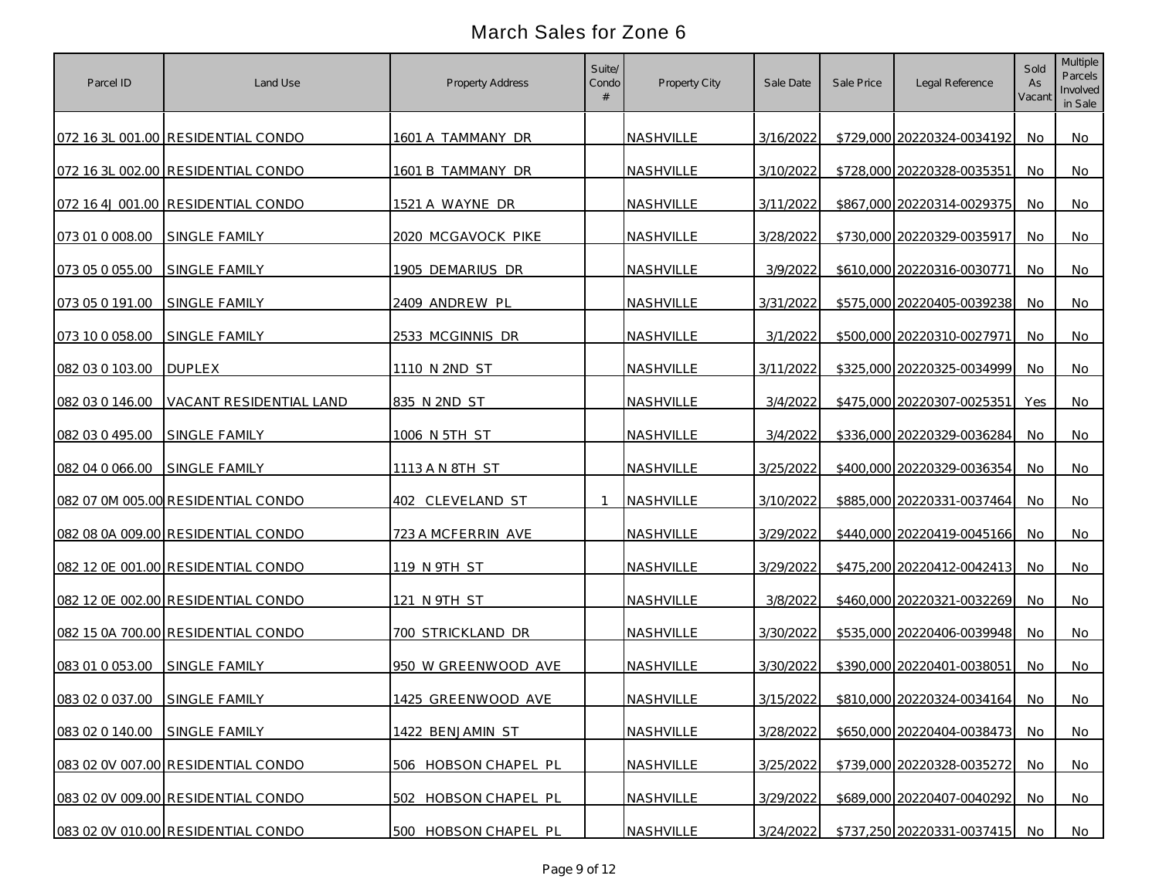| Parcel ID                     | Land Use                                | Property Address     | Suite/<br>Condo | Property City    | Sale Date | Sale Price | Legal Reference            | Sold<br>As<br>Vacant | Multiple<br>Parcels<br>Involved<br>in Sale |
|-------------------------------|-----------------------------------------|----------------------|-----------------|------------------|-----------|------------|----------------------------|----------------------|--------------------------------------------|
|                               | 072 16 3L 001.00 RESIDENTIAL CONDO      | 1601 A TAMMANY DR    |                 | NASHVILLE        | 3/16/2022 |            | \$729,000 20220324-0034192 | No.                  | No                                         |
|                               | 072 16 3L 002.00 RESIDENTIAL CONDO      | 1601 B TAMMANY DR    |                 | NASHVILLE        | 3/10/2022 |            | \$728,000 20220328-0035351 | No                   | No                                         |
|                               | 072 16 4J 001.00 RESIDENTIAL CONDO      | 1521 A WAYNE DR      |                 | NASHVILLE        | 3/11/2022 |            | \$867,000 20220314-0029375 | No                   | No                                         |
| 073 01 0 008 00               | SINGLE FAMILY                           | 2020 MCGAVOCK PIKE   |                 | <b>NASHVILLE</b> | 3/28/2022 |            | \$730,000 20220329-0035917 | No                   | No                                         |
| 073 05 0 055.00 SINGLE FAMILY |                                         | 1905 DEMARIUS DR     |                 | <b>NASHVILLE</b> | 3/9/2022  |            | \$610,000 20220316-0030771 | No                   | No                                         |
| 073 05 0 191.00               | SINGLE FAMILY                           | 2409 ANDREW PL       |                 | NASHVILLE        | 3/31/2022 |            | \$575,000 20220405-0039238 | <b>No</b>            | No                                         |
| 073 10 0 058.00 SINGLE FAMILY |                                         | 2533 MCGINNIS DR     |                 | NASHVILLE        | 3/1/2022  |            | \$500,000 20220310-0027971 | No                   | No                                         |
| 082 03 0 103.00               | <b>DUPLEX</b>                           | 1110 N 2ND ST        |                 | NASHVILLE        | 3/11/2022 |            | \$325,000 20220325-0034999 | No                   | No                                         |
|                               | 082 03 0 146.00 VACANT RESIDENTIAL LAND | 835 N 2ND ST         |                 | NASHVILLE        | 3/4/2022  |            | \$475,000 20220307-0025351 | Yes                  | No                                         |
| 082 03 0 495.00               | <b>SINGLE FAMILY</b>                    | 1006 N 5TH ST        |                 | NASHVILLE        | 3/4/2022  |            | \$336,000 20220329-0036284 | No.                  | No                                         |
| 082 04 0 066.00               | <b>SINGLE FAMILY</b>                    | 1113 A N 8TH ST      |                 | NASHVILLE        | 3/25/2022 |            | \$400,000 20220329-0036354 | <b>No</b>            | No                                         |
|                               | 082 07 0M 005.00 RESIDENTIAL CONDO      | 402 CLEVELAND ST     | $\mathbf{1}$    | NASHVILLE        | 3/10/2022 |            | \$885,000 20220331-0037464 | No                   | No                                         |
|                               | 082 08 0A 009.00 RESIDENTIAL CONDO      | 723 A MCFERRIN AVE   |                 | NASHVILLE        | 3/29/2022 |            | \$440,000 20220419-0045166 | <b>No</b>            | No                                         |
|                               | 082 12 0E 001.00 RESIDENTIAL CONDO      | 119 N 9TH ST         |                 | NASHVILLE        | 3/29/2022 |            | \$475,200 20220412-0042413 | <b>No</b>            | No                                         |
|                               | 082 12 0E 002.00 RESIDENTIAL CONDO      | 121 N 9TH ST         |                 | NASHVILLE        | 3/8/2022  |            | \$460,000 20220321-0032269 | No.                  | No                                         |
|                               | 082 15 0A 700.00 RESIDENTIAL CONDO      | 700 STRICKLAND DR    |                 | NASHVILLE        | 3/30/2022 |            | \$535,000 20220406-0039948 | No.                  | No                                         |
| 083 01 0 053.00               | SINGLE FAMILY                           | 950 W GREENWOOD AVE  |                 | NASHVILLE        | 3/30/2022 |            | \$390,000 20220401-0038051 | No.                  | No                                         |
| 083 02 0 037.00 SINGLE FAMILY |                                         | 1425 GREENWOOD AVE   |                 | NASHVILLE        | 3/15/2022 |            | \$810,000 20220324-0034164 | No.                  | No                                         |
| 083 02 0 140.00 SINGLE FAMILY |                                         | 1422 BENJAMIN ST     |                 | NASHVILLE        | 3/28/2022 |            | \$650,000 20220404-0038473 | <b>No</b>            | <b>No</b>                                  |
|                               | 083 02 0V 007.00 RESIDENTIAL CONDO      | 506 HOBSON CHAPEL PL |                 | NASHVILLE        | 3/25/2022 |            | \$739,000 20220328-0035272 | No                   | <b>No</b>                                  |
|                               | 083 02 0V 009.00 RESIDENTIAL CONDO      | 502 HOBSON CHAPEL PL |                 | NASHVILLE        | 3/29/2022 |            | \$689,000 20220407-0040292 | <b>No</b>            | No                                         |
|                               | 083 02 0V 010.00 RESIDENTIAL CONDO      | 500 HOBSON CHAPEL PL |                 | NASHVILLE        | 3/24/2022 |            | \$737,250 20220331-0037415 | No.                  | No                                         |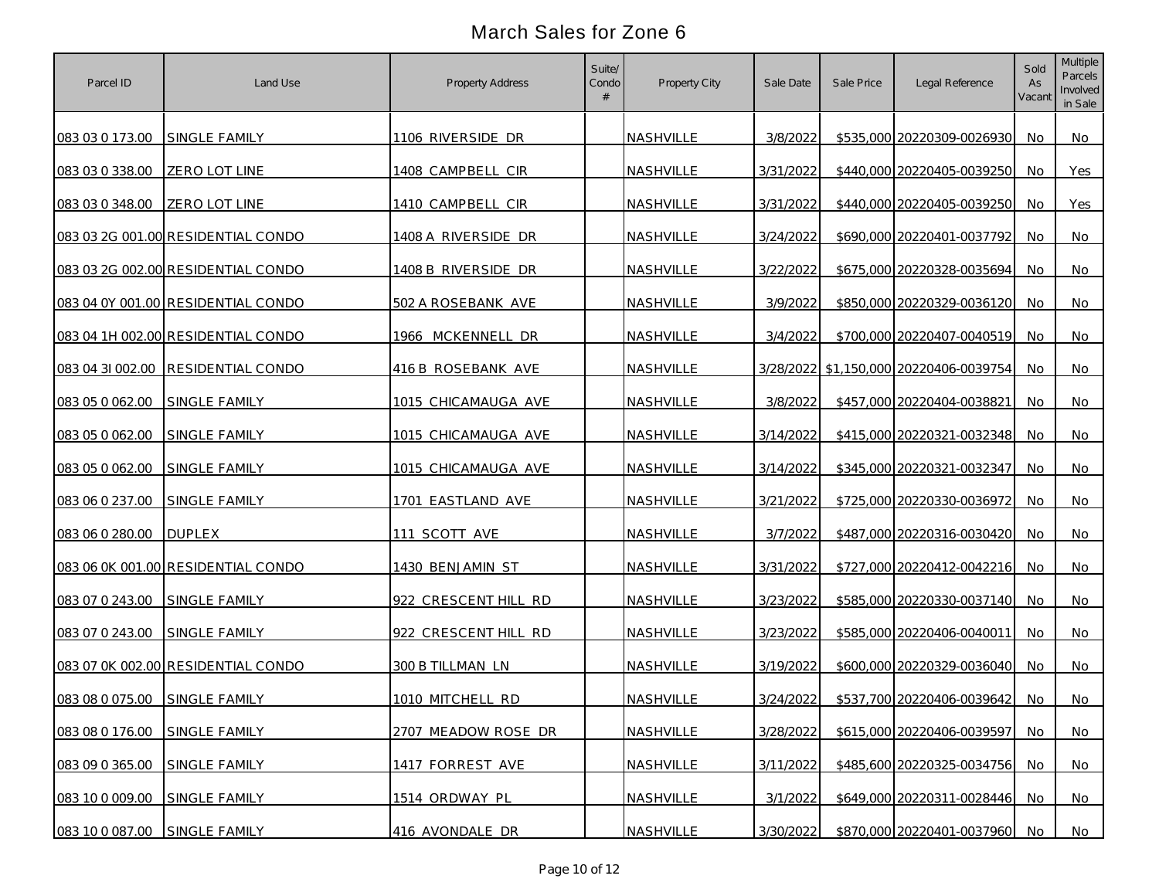| Parcel ID                     | Land Use                           | Property Address     | Suite/<br>Condo | Property City    | Sale Date | Sale Price | Legal Reference                        | Sold<br>As<br>Vacant | <b>Multiple</b><br>Parcels<br>Involved<br>in Sale |
|-------------------------------|------------------------------------|----------------------|-----------------|------------------|-----------|------------|----------------------------------------|----------------------|---------------------------------------------------|
| 083 03 0 173.00 SINGLE FAMILY |                                    | 1106 RIVERSIDE DR    |                 | <b>NASHVILLE</b> | 3/8/2022  |            | \$535,000 20220309-0026930             | No.                  | No.                                               |
| 083 03 0 338.00               | ZERO LOT LINE                      | 1408 CAMPBELL CIR    |                 | NASHVILLE        | 3/31/2022 |            | \$440,000 20220405-0039250             | No                   | Yes                                               |
| 083 03 0 348.00               | ZERO LOT LINE                      | 1410 CAMPBELL CIR    |                 | NASHVILLE        | 3/31/2022 |            | \$440,000 20220405-0039250             | No                   | Yes                                               |
|                               | 083 03 2G 001.00 RESIDENTIAL CONDO | 1408 A RIVERSIDE DR  |                 | NASHVILLE        | 3/24/2022 |            | \$690,000 20220401-0037792             | No                   | No                                                |
|                               | 083 03 2G 002.00 RESIDENTIAL CONDO | 1408 B RIVERSIDE DR  |                 | NASHVILLE        | 3/22/2022 |            | \$675,000 20220328-0035694             | No                   | No.                                               |
|                               | 083 04 0Y 001.00 RESIDENTIAL CONDO | 502 A ROSEBANK AVE   |                 | <b>NASHVILLE</b> | 3/9/2022  |            | \$850,000 20220329-0036120             | No                   | No                                                |
|                               | 083 04 1H 002.00 RESIDENTIAL CONDO | 1966 MCKENNELL DR    |                 | NASHVILLE        | 3/4/2022  |            | \$700,000 20220407-0040519             | No                   | No.                                               |
|                               | 083 04 31 002.00 RESIDENTIAL CONDO | 416 B ROSEBANK AVE   |                 | NASHVILLE        |           |            | 3/28/2022 \$1,150,000 20220406-0039754 | No.                  | No.                                               |
| 083 05 0 062.00               | SINGLE FAMILY                      | 1015 CHICAMAUGA AVE  |                 | NASHVILLE        | 3/8/2022  |            | \$457,000 20220404-0038821             | No                   | No                                                |
| 083 05 0 062.00               | SINGLE FAMILY                      | 1015 CHICAMAUGA AVE  |                 | NASHVILLE        | 3/14/2022 |            | \$415,000 20220321-0032348             | No.                  | No.                                               |
| 083 05 0 062.00               | SINGLE FAMILY                      | 1015 CHICAMAUGA AVE  |                 | NASHVILLE        | 3/14/2022 |            | \$345,000 20220321-0032347             | No                   | No                                                |
| 083 06 0 237.00               | <b>SINGLE FAMILY</b>               | 1701 EASTLAND AVE    |                 | NASHVILLE        | 3/21/2022 |            | \$725,000 20220330-0036972             | No.                  | No                                                |
| 083 06 0 280.00               | <b>DUPLEX</b>                      | 111 SCOTT AVE        |                 | NASHVILLE        | 3/7/2022  |            | \$487,000 20220316-0030420             | No                   | No.                                               |
|                               | 083 06 0K 001.00 RESIDENTIAL CONDO | 1430 BENJAMIN ST     |                 | NASHVILLE        | 3/31/2022 |            | \$727,000 20220412-0042216             | No                   | No                                                |
| 083 07 0 243.00               | <b>SINGLE FAMILY</b>               | 922 CRESCENT HILL RD |                 | NASHVILLE        | 3/23/2022 |            | \$585,000 20220330-0037140             | No                   | No                                                |
| 083 07 0 243.00               | SINGLE FAMILY                      | 922 CRESCENT HILL RD |                 | NASHVILLE        | 3/23/2022 |            | \$585,000 20220406-0040011             | No.                  | No                                                |
|                               | 083 07 0K 002.00 RESIDENTIAL CONDO | 300 B TILLMAN LN     |                 | NASHVILLE        | 3/19/2022 |            | \$600,000 20220329-0036040             | No                   | No                                                |
| 083 08 0 075.00 SINGLE FAMILY |                                    | 1010 MITCHELL RD     |                 | NASHVILLE        | 3/24/2022 |            | \$537,700 20220406-0039642             | No.                  | No                                                |
| 083 08 0 176.00               | SINGLE FAMILY                      | 2707 MEADOW ROSE DR  |                 | NASHVILLE        | 3/28/2022 |            | \$615,000 20220406-0039597             | No                   | <b>No</b>                                         |
| 083 09 0 365.00               | SINGLE FAMILY                      | 1417 FORREST AVE     |                 | NASHVILLE        | 3/11/2022 |            | \$485,600 20220325-0034756             | No                   | <b>No</b>                                         |
| 083 10 0 009.00               | SINGLE FAMILY                      | 1514 ORDWAY PL       |                 | NASHVILLE        | 3/1/2022  |            | \$649,000 20220311-0028446             | No                   | <b>No</b>                                         |
| 083 10 0 087.00 SINGLE FAMILY |                                    | 416 AVONDALE DR      |                 | NASHVILLE        | 3/30/2022 |            | \$870,000 20220401-0037960 No          |                      | No                                                |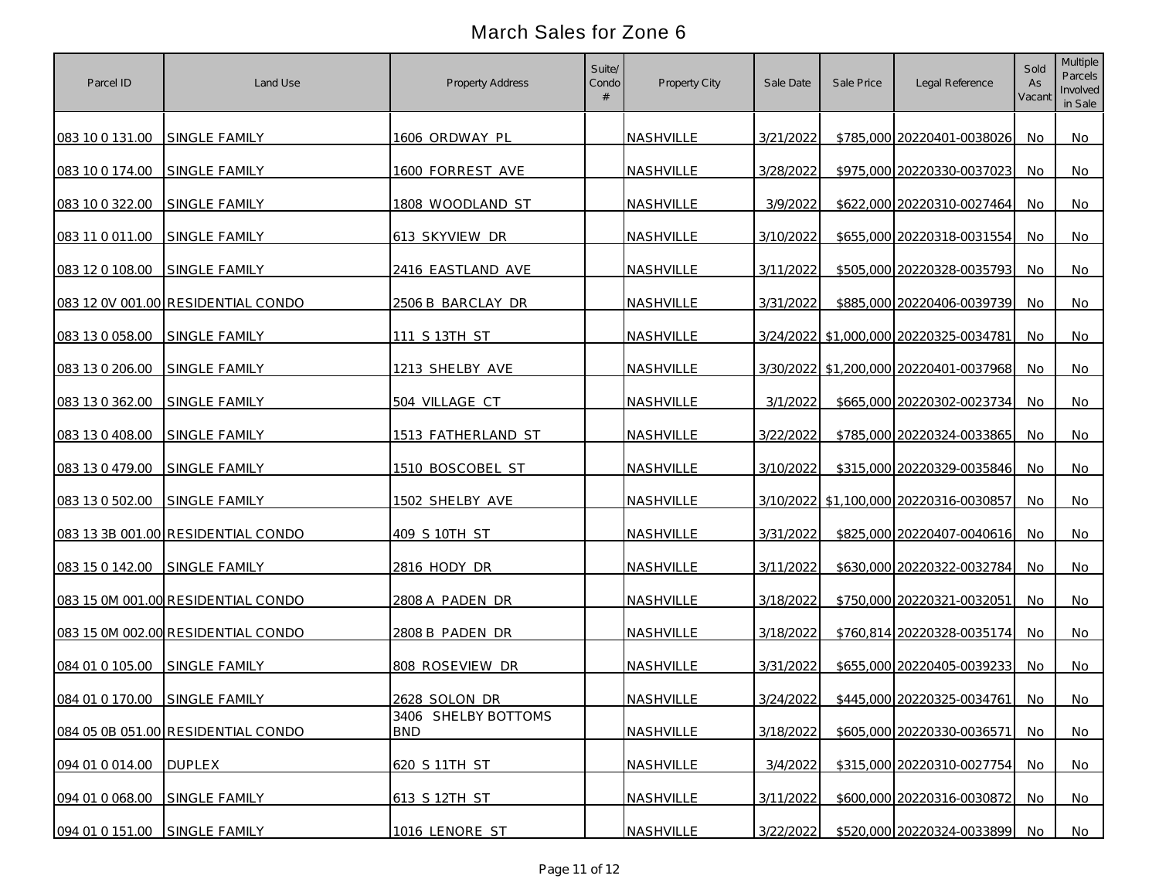| Parcel ID                     | Land Use                           | Property Address                  | Suite/<br>Condo | Property City    | Sale Date | Sale Price | Legal Reference                        | Sold<br>As<br>Vacant | Multiple<br>Parcels<br>Involved<br>in Sale |
|-------------------------------|------------------------------------|-----------------------------------|-----------------|------------------|-----------|------------|----------------------------------------|----------------------|--------------------------------------------|
| 083 10 0 131.00               | SINGLE FAMILY                      | 1606 ORDWAY PL                    |                 | NASHVILLE        | 3/21/2022 |            | \$785,000 20220401-0038026             | No.                  | No                                         |
| 083 10 0 174.00               | <b>SINGLE FAMILY</b>               | 1600 FORREST AVE                  |                 | NASHVILLE        | 3/28/2022 |            | \$975,000 20220330-0037023             | No                   | No                                         |
| 083 10 0 322.00               | SINGLE FAMILY                      | 1808 WOODLAND ST                  |                 | NASHVILLE        | 3/9/2022  |            | \$622,000 20220310-0027464             | No                   | No                                         |
| 083 11 0 011.00               | SINGLE FAMILY                      | 613 SKYVIEW DR                    |                 | NASHVILLE        | 3/10/2022 |            | \$655,000 20220318-0031554             | No                   | No                                         |
| 083 12 0 108.00               | SINGLE FAMILY                      | 2416 EASTLAND AVE                 |                 | NASHVILLE        | 3/11/2022 |            | \$505,000 20220328-0035793             | No                   | No                                         |
|                               | 083 12 0V 001.00 RESIDENTIAL CONDO | 2506 B BARCLAY DR                 |                 | NASHVILLE        | 3/31/2022 |            | \$885,000 20220406-0039739             | No                   | No                                         |
| 083 13 0 058.00               | SINGLE FAMILY                      | 111 S 13TH ST                     |                 | NASHVILLE        |           |            | 3/24/2022 \$1,000,000 20220325-0034781 | No.                  | No                                         |
| 083 13 0 206.00               | SINGLE FAMILY                      | 1213 SHELBY AVE                   |                 | NASHVILLE        |           |            | 3/30/2022 \$1,200,000 20220401-0037968 | No                   | No                                         |
| 083 13 0 362.00               | SINGLE FAMILY                      | 504 VILLAGE CT                    |                 | NASHVILLE        | 3/1/2022  |            | \$665,000 20220302-0023734             | No                   | No                                         |
| 083 13 0 408.00               | <b>SINGLE FAMILY</b>               | 1513 FATHERLAND ST                |                 | NASHVILLE        | 3/22/2022 |            | \$785,000 20220324-0033865             | No.                  | No                                         |
| 083 13 0 479.00               | SINGLE FAMILY                      | 1510 BOSCOBEL ST                  |                 | <b>NASHVILLE</b> | 3/10/2022 |            | \$315,000 20220329-0035846             | <b>No</b>            | No                                         |
| 083 13 0 502.00               | <b>SINGLE FAMILY</b>               | 1502 SHELBY AVE                   |                 | <b>NASHVILLE</b> |           |            | 3/10/2022 \$1,100,000 20220316-0030857 | No                   | No                                         |
|                               | 083 13 3B 001.00 RESIDENTIAL CONDO | 409 S 10TH ST                     |                 | <b>NASHVILLE</b> | 3/31/2022 |            | \$825,000 20220407-0040616             | <b>No</b>            | No                                         |
| 083 15 0 142.00               | SINGLE FAMILY                      | 2816 HODY DR                      |                 | NASHVILLE        | 3/11/2022 |            | \$630,000 20220322-0032784             | <b>No</b>            | No                                         |
|                               | 083 15 0M 001.00 RESIDENTIAL CONDO | 2808 A PADEN DR                   |                 | NASHVILLE        | 3/18/2022 |            | \$750,000 20220321-0032051             | No.                  | No                                         |
|                               | 083 15 0M 002.00 RESIDENTIAL CONDO | 2808 B PADEN DR                   |                 | NASHVILLE        | 3/18/2022 |            | \$760,814 20220328-0035174             | No.                  | No                                         |
| 084 01 0 105.00               | SINGLE FAMILY                      | 808 ROSEVIEW DR                   |                 | NASHVILLE        | 3/31/2022 |            | \$655,000 20220405-0039233             | No.                  | No                                         |
| 084 01 0 170.00 SINGLE FAMILY |                                    | 2628 SOLON DR                     |                 | NASHVILLE        | 3/24/2022 |            | \$445,000 20220325-0034761             | No.                  | No                                         |
|                               | 084 05 0B 051.00 RESIDENTIAL CONDO | 3406 SHELBY BOTTOMS<br><b>BND</b> |                 | NASHVILLE        | 3/18/2022 |            | \$605,000 20220330-0036571             | No.                  | <b>No</b>                                  |
| 094 01 0 014.00               | <b>DUPLEX</b>                      | 620 S 11TH ST                     |                 | NASHVILLE        | 3/4/2022  |            | \$315,000 20220310-0027754             | No.                  | <b>No</b>                                  |
| 094 01 0 068.00               | SINGLE FAMILY                      | 613 S 12TH ST                     |                 | NASHVILLE        | 3/11/2022 |            | \$600,000 20220316-0030872             | No.                  | No                                         |
| 094 01 0 151.00 SINGLE FAMILY |                                    | 1016 LENORE ST                    |                 | NASHVILLE        | 3/22/2022 |            | \$520,000 20220324-0033899             | No.                  | No                                         |